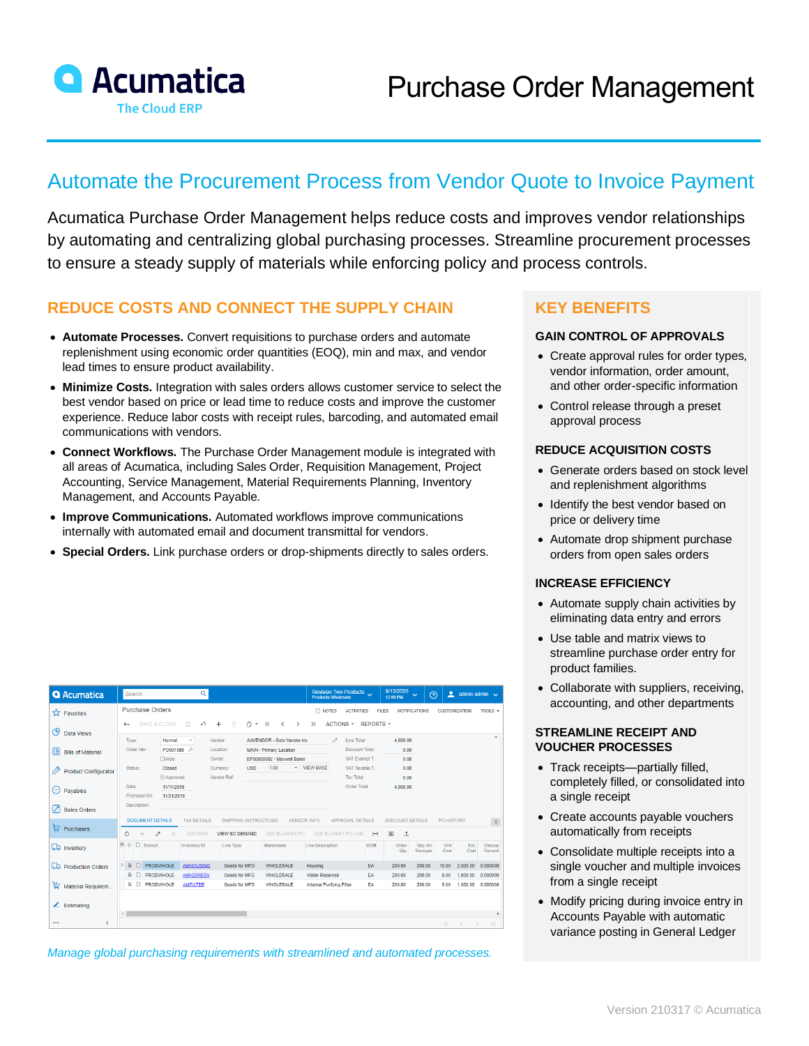

# Automate the Procurement Process from Vendor Quote to Invoice Payment

Acumatica Purchase Order Management helps reduce costs and improves vendor relationships by automating and centralizing global purchasing processes. Streamline procurement processes to ensure a steady supply of materials while enforcing policy and process controls.

## **REDUCE COSTS AND CONNECT THE SUPPLY CHAIN**

- **Automate Processes.** Convert requisitions to purchase orders and automate replenishment using economic order quantities (EOQ), min and max, and vendor lead times to ensure product availability.
- **Minimize Costs.** Integration with sales orders allows customer service to select the best vendor based on price or lead time to reduce costs and improve the customer experience. Reduce labor costs with receipt rules, barcoding, and automated email communications with vendors.
- **Connect Workflows.** The Purchase Order Management module is integrated with all areas of Acumatica, including Sales Order, Requisition Management, Project Accounting, Service Management, Material Requirements Planning, Inventory Management, and Accounts Payable.
- **Improve Communications.** Automated workflows improve communications internally with automated email and document transmittal for vendors.
- **Special Orders.** Link purchase orders or drop-shipments directly to sales orders.

|               | <b>Q</b> Acumatica          |                                                                                                                                                                                                   | Search      |           |             | Q                |           |                                         |                            |                             |                              | Revision Two Products<br>Products Wholesale |                  |               |                              | 8/13/2020<br>12:09 PM   | $\odot$<br>$\checkmark$ | ≗            |                                          | admin admin $\sqrt{}$ |
|---------------|-----------------------------|---------------------------------------------------------------------------------------------------------------------------------------------------------------------------------------------------|-------------|-----------|-------------|------------------|-----------|-----------------------------------------|----------------------------|-----------------------------|------------------------------|---------------------------------------------|------------------|---------------|------------------------------|-------------------------|-------------------------|--------------|------------------------------------------|-----------------------|
|               | <b>A</b> Favorites          | Purchase Orders                                                                                                                                                                                   |             |           |             |                  |           |                                         |                            |                             | n NOTES<br><b>ACTIVITIES</b> |                                             |                  | FILES.        | NOTIFICATIONS                | CUSTOMIZATION           | TOOLS $\sim$            |              |                                          |                       |
| ල             | Data Views                  | 圖<br>SAVE & CLOSE<br>自<br>n.<br>ACTIONS *<br>$\curvearrowleft$<br>$\ddot{}$<br>$\overline{\mathbf{K}}$<br>>1<br>REPORTS *<br>$\star$<br>$\rightarrow$<br>$\overline{\phantom{a}}$<br>$\leftarrow$ |             |           |             |                  |           |                                         |                            |                             |                              |                                             |                  |               |                              |                         |                         |              |                                          |                       |
|               |                             | Type:                                                                                                                                                                                             |             |           | Normal      |                  |           | Vendor:                                 |                            | AAVENDOR - Goto Vendor Inc. |                              |                                             | Line Total:<br>1 |               | 4.600.00                     |                         |                         |              |                                          | $\hat{ }$             |
| l₿            | <b>Bills of Material</b>    |                                                                                                                                                                                                   | Order Nbr.: |           | PO001086 P  |                  | Location: | MAIN - Primary Location                 |                            |                             |                              |                                             | Discount Total:  |               | 0.00                         |                         |                         |              |                                          |                       |
|               |                             |                                                                                                                                                                                                   |             |           | $\Box$ Hold |                  | Owner:    |                                         | EP00000002 - Maxwell Baker |                             |                              |                                             |                  |               | VAT Exempt T                 |                         | 0.00                    |              |                                          |                       |
| 19            | <b>Product Configurator</b> | Status:<br>Date:                                                                                                                                                                                  |             |           | Closed      |                  |           | Currency:<br><b>USD</b><br>Vendor Ref.: |                            | 1.00                        |                              | v VIEW BASE                                 |                  | VAT Taxable T |                              | 0.00                    |                         |              |                                          |                       |
|               |                             |                                                                                                                                                                                                   |             |           | Approved    |                  |           |                                         |                            |                             |                              |                                             | Tax Total:       |               |                              | 0.00                    |                         |              |                                          |                       |
| $(\hbox{--})$ | Payables                    |                                                                                                                                                                                                   |             |           | 11/11/2019  |                  |           |                                         |                            |                             |                              |                                             | Order Total:     |               |                              | 4,600.00                |                         |              |                                          |                       |
|               |                             | Promised On:<br>11/21/2019<br>Description:                                                                                                                                                        |             |           |             |                  |           |                                         |                            |                             |                              |                                             |                  |               |                              |                         |                         |              |                                          |                       |
| Í             | <b>Sales Orders</b>         |                                                                                                                                                                                                   |             |           |             |                  |           |                                         |                            |                             |                              |                                             |                  |               |                              |                         |                         |              |                                          |                       |
| ₽             | Purchases                   | SHIPPING INSTRUCTIONS<br><b>DOCUMENT DETAILS</b><br><b>TAX DETAILS</b><br><b>VENDOR INFO</b>                                                                                                      |             |           |             |                  |           |                                         |                            |                             | APPROVAL DETAILS             |                                             |                  |               | <b>DISCOUNT DETAILS</b>      |                         | PO HISTORY              |              |                                          |                       |
|               |                             | $\mathcal{C}$                                                                                                                                                                                     |             |           |             | ADD ITEM         |           | VIEW SO DEMAND                          |                            | ADD BLANKET PO              |                              | ADD BLANKET PO LINE                         |                  |               | $\left  \rightarrow \right $ | $ \mathbf{x} $<br>$\pm$ |                         |              |                                          |                       |
|               | <b>LD</b> Inventory         | 中 6                                                                                                                                                                                               | $\Box$      | Branch    |             | Inventory ID     |           | Line Type                               |                            | Warehouse                   |                              | Line Description                            |                  |               | <b>UOM</b>                   | Order<br>Qty.           | Qty. On<br>Receipts     | Unit<br>Cost | Ext.<br>Cost                             | Discour<br>Percent    |
|               |                             |                                                                                                                                                                                                   |             |           |             |                  |           |                                         |                            |                             |                              |                                             |                  |               |                              |                         |                         |              |                                          |                       |
|               | Production Orders           | > 0                                                                                                                                                                                               |             | PRODWHOLE |             | <b>AMHOUSING</b> |           | Goods for MFG                           |                            | WHOLESALE                   |                              | Housing                                     |                  |               | EA                           | 200.00                  | 200.00                  | 10.00        | 2.000.00                                 | 0.000000              |
|               |                             | $\theta$                                                                                                                                                                                          | D           | PRODWHOLE |             | AMH20RESV        |           | Goods for MFG                           |                            | WHOLESALE                   |                              | Water Reservoir                             |                  |               | EA                           | 200.00                  | 200.00                  | 8.00         | 1,600.00                                 | 0.000000              |
| Þ             | Material Requirem           | $\theta$                                                                                                                                                                                          | D           | PRODWHOLE |             | <b>AMFILTER</b>  |           | Goods for MFG                           |                            | WHOLESALE                   |                              | Internal Purifying Filter                   |                  |               | EA                           | 200.00                  | 200.00                  | 5.00         | 1,000.00                                 | 0.000000              |
|               | $\angle$ Estimating         |                                                                                                                                                                                                   |             |           |             |                  |           |                                         |                            |                             |                              |                                             |                  |               |                              |                         |                         |              |                                          |                       |
|               |                             | $\triangleleft$                                                                                                                                                                                   |             |           |             |                  |           |                                         |                            |                             |                              |                                             |                  |               |                              |                         |                         |              |                                          |                       |
|               | ≺                           |                                                                                                                                                                                                   |             |           |             |                  |           |                                         |                            |                             |                              |                                             |                  |               |                              |                         |                         | $\mathbb{R}$ | $\overline{\left\langle \right\rangle }$ | $\rightarrow$<br>>1   |

*Manage global purchasing requirements with streamlined and automated processes.*

### **KEY BENEFITS**

#### **GAIN CONTROL OF APPROVALS**

- Create approval rules for order types, vendor information, order amount, and other order-specific information
- Control release through a preset approval process

#### **REDUCE ACQUISITION COSTS**

- Generate orders based on stock level and replenishment algorithms
- Identify the best vendor based on price or delivery time
- Automate drop shipment purchase orders from open sales orders

#### **INCREASE EFFICIENCY**

- Automate supply chain activities by eliminating data entry and errors
- Use table and matrix views to streamline purchase order entry for product families.
- Collaborate with suppliers, receiving, accounting, and other departments

#### **STREAMLINE RECEIPT AND VOUCHER PROCESSES**

- Track receipts—partially filled, completely filled, or consolidated into a single receipt
- Create accounts payable vouchers automatically from receipts
- Consolidate multiple receipts into a single voucher and multiple invoices from a single receipt
- Modify pricing during invoice entry in Accounts Payable with automatic variance posting in General Ledger